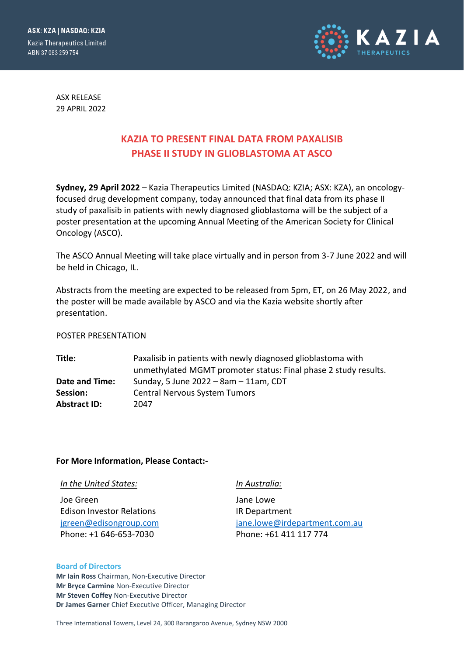ASX: KZA | NASDAQ: KZIA **Kazia Therapeutics Limited** ABN 37 063 259 754



ASX RELEASE 29 APRIL 2022

# **KAZIA TO PRESENT FINAL DATA FROM PAXALISIB PHASE II STUDY IN GLIOBLASTOMA AT ASCO**

**Sydney, 29 April 2022** – Kazia Therapeutics Limited (NASDAQ: KZIA; ASX: KZA), an oncologyfocused drug development company, today announced that final data from its phase II study of paxalisib in patients with newly diagnosed glioblastoma will be the subject of a poster presentation at the upcoming Annual Meeting of the American Society for Clinical Oncology (ASCO).

The ASCO Annual Meeting will take place virtually and in person from 3-7 June 2022 and will be held in Chicago, IL.

Abstracts from the meeting are expected to be released from 5pm, ET, on 26 May 2022, and the poster will be made available by ASCO and via the Kazia website shortly after presentation.

### POSTER PRESENTATION

**Title:** Paxalisib in patients with newly diagnosed glioblastoma with unmethylated MGMT promoter status: Final phase 2 study results. **Date and Time:** Sunday, 5 June 2022 – 8am – 11am, CDT **Session:** Central Nervous System Tumors **Abstract ID:** 2047

### **For More Information, Please Contact:-**

| In the United States:            | In Australia:                 |
|----------------------------------|-------------------------------|
| Joe Green                        | Jane Lowe                     |
| <b>Edison Investor Relations</b> | IR Department                 |
| jgreen@edisongroup.com           | jane.lowe@irdepartment.com.au |
| Phone: +1 646-653-7030           | Phone: +61 411 117 774        |

#### **Board of Directors**

**Mr Iain Ross** Chairman, Non-Executive Director **Mr Bryce Carmine** Non-Executive Director **Mr Steven Coffey** Non-Executive Director **Dr James Garner** Chief Executive Officer, Managing Director

Three International Towers, Level 24, 300 Barangaroo Avenue, Sydney NSW 2000